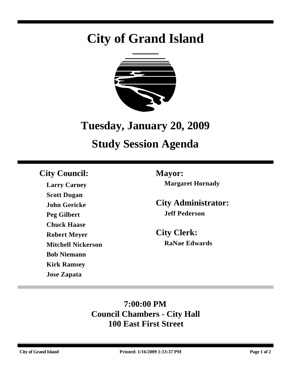# **City of Grand Island**



## **Tuesday, January 20, 2009**

## **Study Session Agenda**

## **City Council: Mayor:**

**Larry Carney Scott Dugan John Gericke Peg Gilbert Chuck Haase Robert Meyer Mitchell Nickerson Bob Niemann Kirk Ramsey Jose Zapata**

**Margaret Hornady**

**City Administrator: Jeff Pederson**

**City Clerk: RaNae Edwards**

## **7:00:00 PM Council Chambers - City Hall 100 East First Street**